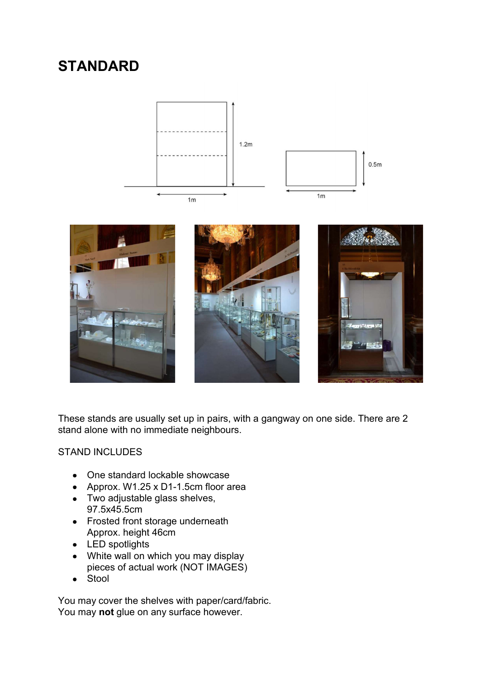# **STANDARD**









These stands are usually set up in pairs, with a gangway on one side. There are 2 stand alone with no immediate neighbours.

#### STAND INCLUDES

- One standard lockable showcase
- Approx. W1.25 x D1-1.5cm floor area
- Two adjustable glass shelves, 97.5x45.5cm
- Frosted front storage underneath Approx. height 46cm
- LED spotlights
- White wall on which you may display pieces of actual work (NOT IMAGES)
- Stool  $\bullet$

You may cover the shelves with paper/card/fabric. You may **not** glue on any surface however.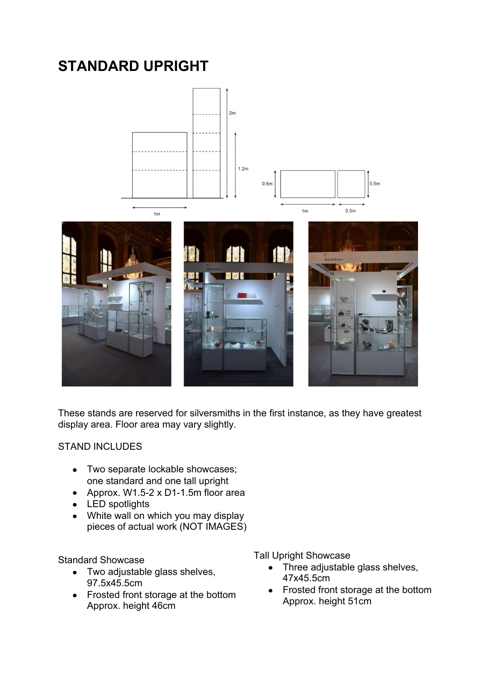# **STANDARD UPRIGHT**



These stands are reserved for silversmiths in the first instance, as they have greatest display area. Floor area may vary slightly.

#### STAND INCLUDES

- Two separate lockable showcases; one standard and one tall upright
- Approx. W1.5-2 x D1-1.5m floor area
- LED spotlights
- White wall on which you may display pieces of actual work (NOT IMAGES)

Standard Showcase

- Two adjustable glass shelves, 97.5x45.5cm
- Frosted front storage at the bottom Approx. height 46cm

Tall Upright Showcase

- Three adjustable glass shelves,  $\bullet$ 47x45.5cm
- Frosted front storage at the bottom Approx. height 51cm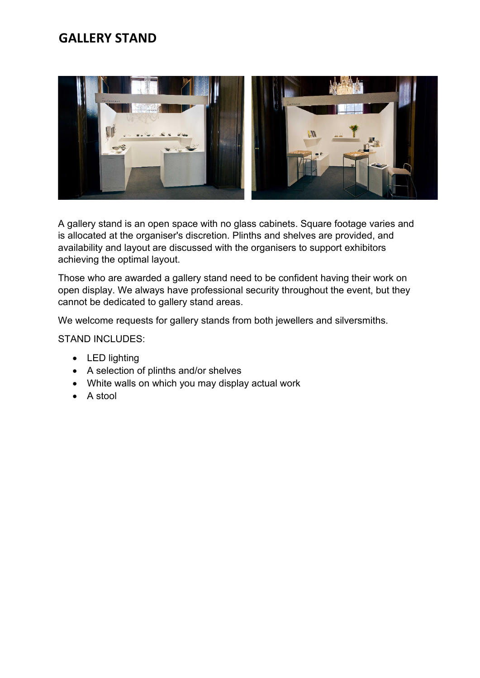### **GALLERY STAND**



A gallery stand is an open space with no glass cabinets. Square footage varies and is allocated at the organiser's discretion. Plinths and shelves are provided, and availability and layout are discussed with the organisers to support exhibitors achieving the optimal layout.

Those who are awarded a gallery stand need to be confident having their work on open display. We always have professional security throughout the event, but they cannot be dedicated to gallery stand areas.

We welcome requests for gallery stands from both jewellers and silversmiths.

STAND INCLUDES:

- LED lighting
- A selection of plinths and/or shelves
- White walls on which you may display actual work
- A stool